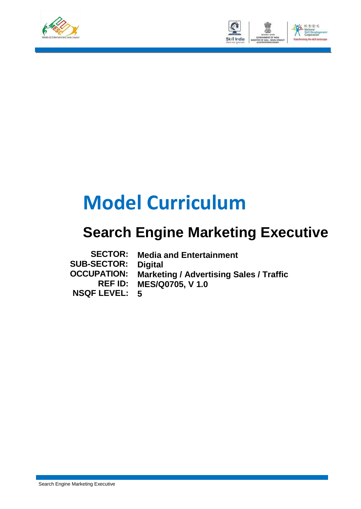



# **Model Curriculum**

## **Search Engine Marketing Executive**

| <b>SECTOR:</b>       | <b>Media and Entertainment</b>                 |
|----------------------|------------------------------------------------|
| <b>SUB-SECTOR:</b>   | <b>Digital</b>                                 |
| <b>OCCUPATION:</b>   | <b>Marketing / Advertising Sales / Traffic</b> |
|                      | <b>REF ID: MES/Q0705, V 1.0</b>                |
| <b>NSQF LEVEL: 5</b> |                                                |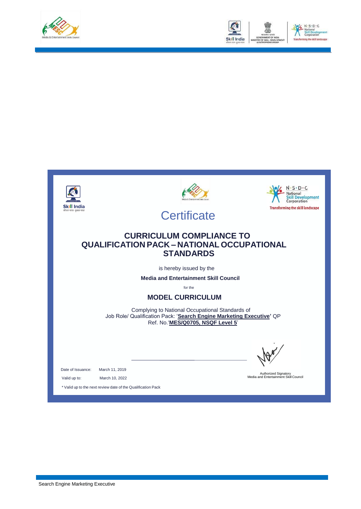



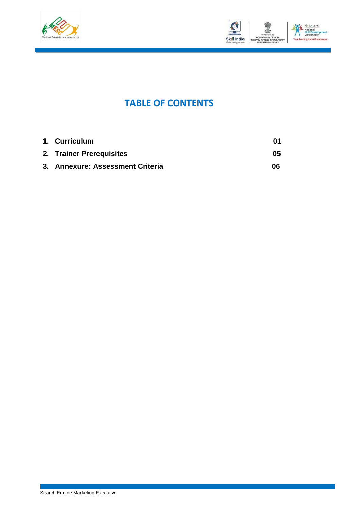



### **TABLE OF CONTENTS**

| 1. Curriculum                    |    |
|----------------------------------|----|
| 2. Trainer Prerequisites         | 05 |
| 3. Annexure: Assessment Criteria | 06 |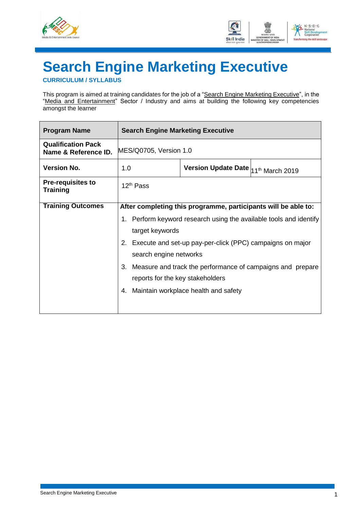



# <span id="page-3-0"></span>**Search Engine Marketing Executive**

**CURRICULUM / SYLLABUS**

This program is aimed at training candidates for the job of a "Search Engine Marketing Executive", in the "Media and Entertainment" Sector / Industry and aims at building the following key competencies amongst the learner

| <b>Program Name</b>                               | <b>Search Engine Marketing Executive</b>   |                                                                |                                                                    |  |  |
|---------------------------------------------------|--------------------------------------------|----------------------------------------------------------------|--------------------------------------------------------------------|--|--|
| <b>Qualification Pack</b><br>Name & Reference ID. | MES/Q0705, Version 1.0                     |                                                                |                                                                    |  |  |
| <b>Version No.</b>                                | 1.0                                        | Version Update Date 11 <sup>th</sup> March 2019                |                                                                    |  |  |
| <b>Pre-requisites to</b><br><b>Training</b>       | $12th$ Pass                                |                                                                |                                                                    |  |  |
| <b>Training Outcomes</b>                          |                                            | After completing this programme, participants will be able to: |                                                                    |  |  |
|                                                   |                                            |                                                                | 1. Perform keyword research using the available tools and identify |  |  |
|                                                   | target keywords                            |                                                                |                                                                    |  |  |
|                                                   |                                            | 2. Execute and set-up pay-per-click (PPC) campaigns on major   |                                                                    |  |  |
|                                                   | search engine networks                     |                                                                |                                                                    |  |  |
|                                                   | 3.                                         | Measure and track the performance of campaigns and prepare     |                                                                    |  |  |
|                                                   | reports for the key stakeholders           |                                                                |                                                                    |  |  |
|                                                   | Maintain workplace health and safety<br>4. |                                                                |                                                                    |  |  |
|                                                   |                                            |                                                                |                                                                    |  |  |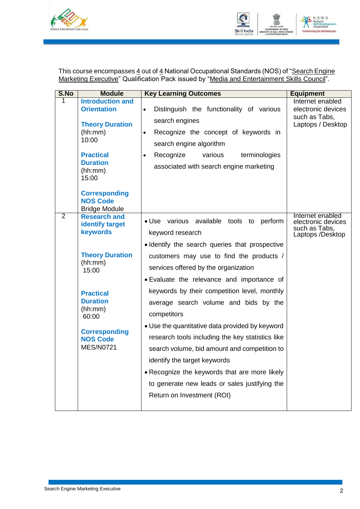



This course encompasses 4 out of 4 National Occupational Standards (NOS) of "Search Engine Marketing Executive" Qualification Pack issued by "Media and Entertainment Skills Council".

| S.No           | <b>Module</b>                                                   | <b>Key Learning Outcomes</b>                                                                                                                                                        | <b>Equipment</b>                                                            |
|----------------|-----------------------------------------------------------------|-------------------------------------------------------------------------------------------------------------------------------------------------------------------------------------|-----------------------------------------------------------------------------|
|                | <b>Introduction and</b><br><b>Orientation</b>                   | Distinguish the functionality of various<br>$\bullet$                                                                                                                               | Internet enabled<br>electronic devices<br>such as Tabs,                     |
|                | <b>Theory Duration</b><br>(hh:mm)<br>10:00                      | search engines<br>Recognize the concept of keywords in<br>$\bullet$<br>search engine algorithm                                                                                      | Laptops / Desktop                                                           |
|                | <b>Practical</b><br><b>Duration</b><br>(hh:mm)<br>15:00         | Recognize<br>various<br>terminologies<br>$\bullet$<br>associated with search engine marketing                                                                                       |                                                                             |
|                | <b>Corresponding</b><br><b>NOS Code</b><br><b>Bridge Module</b> |                                                                                                                                                                                     |                                                                             |
| $\overline{2}$ | <b>Research and</b><br><b>identify target</b><br>keywords       | . Use various available tools to perform<br>keyword research                                                                                                                        | Internet enabled<br>electronic devices<br>such as Tabs,<br>Laptops /Desktop |
|                | <b>Theory Duration</b><br>(hh:mm)<br>15:00                      | · Identify the search queries that prospective<br>customers may use to find the products /<br>services offered by the organization<br>• Evaluate the relevance and importance of    |                                                                             |
|                | <b>Practical</b><br><b>Duration</b><br>(hh:mm)<br>60:00         | keywords by their competition level, monthly<br>average search volume and bids by the<br>competitors                                                                                |                                                                             |
|                | <b>Corresponding</b><br><b>NOS Code</b><br><b>MES/N0721</b>     | • Use the quantitative data provided by keyword<br>research tools including the key statistics like<br>search volume, bid amount and competition to<br>identify the target keywords |                                                                             |
|                |                                                                 | • Recognize the keywords that are more likely<br>to generate new leads or sales justifying the<br>Return on Investment (ROI)                                                        |                                                                             |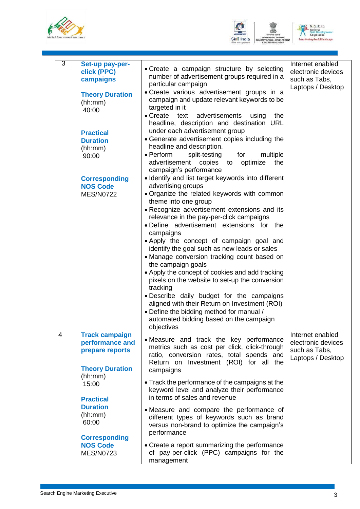





| $\overline{3}$ | Set-up pay-per-<br>click (PPC)<br>campaigns<br><b>Theory Duration</b><br>(hh:mm)<br>40:00<br><b>Practical</b><br><b>Duration</b><br>(hh:mm)<br>90:00<br><b>Corresponding</b><br><b>NOS Code</b><br><b>MES/N0722</b>                 | • Create a campaign structure by selecting<br>number of advertisement groups required in a<br>particular campaign<br>• Create various advertisement groups in a<br>campaign and update relevant keywords to be<br>targeted in it<br>$\bullet$ Create<br>text<br>advertisements<br>using<br>the<br>headline, description and destination URL<br>under each advertisement group<br>• Generate advertisement copies including the<br>headline and description.<br>• Perform<br>split-testing<br>for<br>multiple<br>advertisement<br>copies<br>optimize<br>the<br>to<br>campaign's performance<br>· Identify and list target keywords into different<br>advertising groups<br>• Organize the related keywords with common<br>theme into one group<br>• Recognize advertisement extensions and its<br>relevance in the pay-per-click campaigns<br>. Define advertisement extensions for the<br>campaigns<br>. Apply the concept of campaign goal and<br>identify the goal such as new leads or sales<br>• Manage conversion tracking count based on<br>the campaign goals<br>• Apply the concept of cookies and add tracking<br>pixels on the website to set-up the conversion<br>tracking<br>. Describe daily budget for the campaigns<br>aligned with their Return on Investment (ROI)<br>• Define the bidding method for manual /<br>automated bidding based on the campaign<br>objectives | Internet enabled<br>electronic devices<br>such as Tabs,<br>Laptops / Desktop |
|----------------|-------------------------------------------------------------------------------------------------------------------------------------------------------------------------------------------------------------------------------------|------------------------------------------------------------------------------------------------------------------------------------------------------------------------------------------------------------------------------------------------------------------------------------------------------------------------------------------------------------------------------------------------------------------------------------------------------------------------------------------------------------------------------------------------------------------------------------------------------------------------------------------------------------------------------------------------------------------------------------------------------------------------------------------------------------------------------------------------------------------------------------------------------------------------------------------------------------------------------------------------------------------------------------------------------------------------------------------------------------------------------------------------------------------------------------------------------------------------------------------------------------------------------------------------------------------------------------------------------------------------------------------|------------------------------------------------------------------------------|
| 4              | <b>Track campaign</b><br>performance and<br>prepare reports<br><b>Theory Duration</b><br>(hh:mm)<br>15:00<br><b>Practical</b><br><b>Duration</b><br>(hh:mm)<br>60:00<br><b>Corresponding</b><br><b>NOS Code</b><br><b>MES/N0723</b> | • Measure and track the key performance<br>metrics such as cost per click, click-through<br>ratio, conversion rates, total spends and<br>Return on Investment (ROI) for all the<br>campaigns<br>• Track the performance of the campaigns at the<br>keyword level and analyze their performance<br>in terms of sales and revenue<br>• Measure and compare the performance of<br>different types of keywords such as brand<br>versus non-brand to optimize the campaign's<br>performance<br>• Create a report summarizing the performance<br>of pay-per-click (PPC) campaigns for the                                                                                                                                                                                                                                                                                                                                                                                                                                                                                                                                                                                                                                                                                                                                                                                                      | Internet enabled<br>electronic devices<br>such as Tabs,<br>Laptops / Desktop |
|                |                                                                                                                                                                                                                                     | management                                                                                                                                                                                                                                                                                                                                                                                                                                                                                                                                                                                                                                                                                                                                                                                                                                                                                                                                                                                                                                                                                                                                                                                                                                                                                                                                                                               |                                                                              |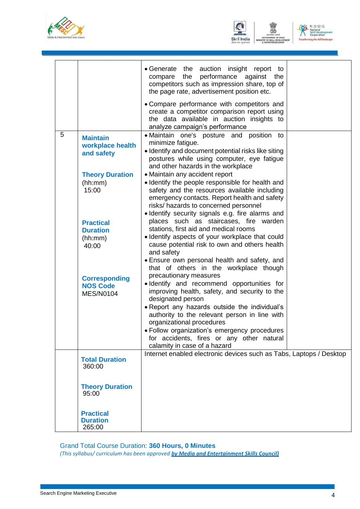



| $N \cdot S \cdot D \cdot C$                         |
|-----------------------------------------------------|
| National<br><b>Skill Development</b><br>Corporation |
| Transforming the skill landscape                    |

|   |                                                             | • Generate the auction insight report to<br>the performance against the<br>compare<br>competitors such as impression share, top of<br>the page rate, advertisement position etc.                                                                                                                                                                                    |
|---|-------------------------------------------------------------|---------------------------------------------------------------------------------------------------------------------------------------------------------------------------------------------------------------------------------------------------------------------------------------------------------------------------------------------------------------------|
|   |                                                             | • Compare performance with competitors and<br>create a competitor comparison report using<br>the data available in auction insights to<br>analyze campaign's performance                                                                                                                                                                                            |
| 5 | <b>Maintain</b><br>workplace health<br>and safety           | • Maintain one's posture and position to<br>minimize fatigue.<br>· Identify and document potential risks like siting<br>postures while using computer, eye fatigue<br>and other hazards in the workplace                                                                                                                                                            |
|   | <b>Theory Duration</b><br>(hh:mm)<br>15:00                  | • Maintain any accident report<br>· Identify the people responsible for health and<br>safety and the resources available including<br>emergency contacts. Report health and safety<br>risks/ hazards to concerned personnel<br>· Identify security signals e.g. fire alarms and                                                                                     |
|   | <b>Practical</b><br><b>Duration</b><br>(hh:mm)<br>40:00     | places such as staircases, fire warden<br>stations, first aid and medical rooms<br>· Identify aspects of your workplace that could<br>cause potential risk to own and others health<br>and safety<br>• Ensure own personal health and safety, and                                                                                                                   |
|   | <b>Corresponding</b><br><b>NOS Code</b><br><b>MES/N0104</b> | that of others in the workplace though<br>precautionary measures<br>· Identify and recommend opportunities for<br>improving health, safety, and security to the<br>designated person<br>. Report any hazards outside the individual's<br>authority to the relevant person in line with<br>organizational procedures<br>• Follow organization's emergency procedures |
|   |                                                             | for accidents, fires or any other natural<br>calamity in case of a hazard                                                                                                                                                                                                                                                                                           |
|   | <b>Total Duration</b><br>360:00                             | Internet enabled electronic devices such as Tabs, Laptops / Desktop                                                                                                                                                                                                                                                                                                 |
|   | <b>Theory Duration</b><br>95:00                             |                                                                                                                                                                                                                                                                                                                                                                     |
|   | <b>Practical</b><br><b>Duration</b><br>265:00               |                                                                                                                                                                                                                                                                                                                                                                     |

#### Grand Total Course Duration: **360 Hours, 0 Minutes**

*(This syllabus/ curriculum has been approved by Media and Entertainment Skills Council)*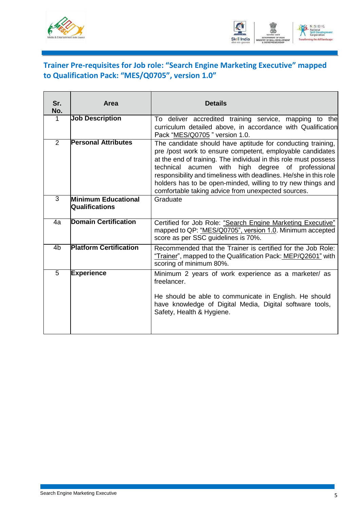



### <span id="page-7-0"></span>**Trainer Pre-requisites for Job role: "Search Engine Marketing Executive" mapped to Qualification Pack: "MES/Q0705", version 1.0"**

| Sr.<br>No.     | Area                                                | <b>Details</b>                                                                                                                                                                                                                                                                                                                                                                                                                               |
|----------------|-----------------------------------------------------|----------------------------------------------------------------------------------------------------------------------------------------------------------------------------------------------------------------------------------------------------------------------------------------------------------------------------------------------------------------------------------------------------------------------------------------------|
| 1              | <b>Job Description</b>                              | To deliver accredited training service, mapping to the<br>curriculum detailed above, in accordance with Qualification<br>Pack "MES/Q0705" version 1.0.                                                                                                                                                                                                                                                                                       |
| $\overline{2}$ | <b>Personal Attributes</b>                          | The candidate should have aptitude for conducting training,<br>pre /post work to ensure competent, employable candidates<br>at the end of training. The individual in this role must possess<br>technical acumen with high degree of professional<br>responsibility and timeliness with deadlines. He/she in this role<br>holders has to be open-minded, willing to try new things and<br>comfortable taking advice from unexpected sources. |
| $\overline{3}$ | <b>Minimum Educational</b><br><b>Qualifications</b> | Graduate                                                                                                                                                                                                                                                                                                                                                                                                                                     |
| 4a             | <b>Domain Certification</b>                         | Certified for Job Role: "Search Engine Marketing Executive"<br>mapped to QP: "MES/Q0705", version 1.0. Minimum accepted<br>score as per SSC guidelines is 70%.                                                                                                                                                                                                                                                                               |
| 4 <sub>b</sub> | <b>Platform Certification</b>                       | Recommended that the Trainer is certified for the Job Role:<br>"Trainer", mapped to the Qualification Pack: MEP/Q2601" with<br>scoring of minimum 80%.                                                                                                                                                                                                                                                                                       |
| $\overline{5}$ | <b>Experience</b>                                   | Minimum 2 years of work experience as a marketer/ as<br>freelancer.<br>He should be able to communicate in English. He should<br>have knowledge of Digital Media, Digital software tools,<br>Safety, Health & Hygiene.                                                                                                                                                                                                                       |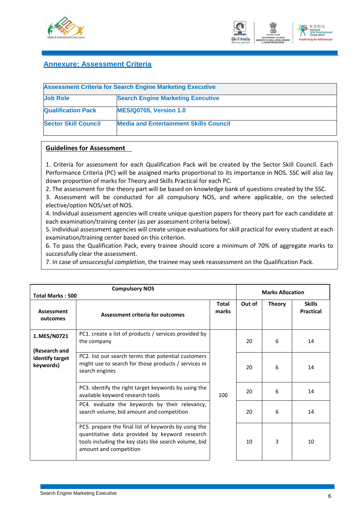



#### **Annexure: Assessment Criteria**

<span id="page-8-0"></span>

| <b>Assessment Criteria for Search Engine Marketing Executive</b> |                                               |  |  |
|------------------------------------------------------------------|-----------------------------------------------|--|--|
| <b>Job Role</b>                                                  | <b>Search Engine Marketing Executive</b>      |  |  |
| <b>Qualification Pack</b>                                        | <b>MES/Q0705, Version 1.0</b>                 |  |  |
| <b>Sector Skill Council</b>                                      | <b>Media and Entertainment Skills Council</b> |  |  |

#### **Guidelines for Assessment**

1. Criteria for assessment for each Qualification Pack will be created by the Sector Skill Council. Each Performance Criteria (PC) will be assigned marks proportional to its importance in NOS. SSC will also lay down proportion of marks for Theory and Skills Practical for each PC.

2. The assessment for the theory part will be based on knowledge bank of questions created by the SSC.

3. Assessment will be conducted for all compulsory NOS, and where applicable, on the selected elective/option NOS/set of NOS.

4. Individual assessment agencies will create unique question papers for theory part for each candidate at each examination/training center (as per assessment criteria below).

5. Individual assessment agencies will create unique evaluations for skill practical for every student at each examination/training center based on this criterion.

6. To pass the Qualification Pack, every trainee should score a minimum of 70% of aggregate marks to successfully clear the assessment.

7. In case of *unsuccessful completion*, the trainee may seek reassessment on the Qualification Pack.

| <b>Compulsory NOS</b><br><b>Total Marks: 500</b> |                                                                                                                                                                                           |                       | <b>Marks Allocation</b> |               |                                   |
|--------------------------------------------------|-------------------------------------------------------------------------------------------------------------------------------------------------------------------------------------------|-----------------------|-------------------------|---------------|-----------------------------------|
| Assessment<br>outcomes                           | <b>Assessment criteria for outcomes</b>                                                                                                                                                   | <b>Total</b><br>marks | Out of                  | <b>Theory</b> | <b>Skills</b><br><b>Practical</b> |
| 1. MES/N0721<br>(Research and                    | PC1. create a list of products / services provided by<br>the company                                                                                                                      |                       | 20                      | 6             | 14                                |
| identify target<br>keywords)                     | PC2. list out search terms that potential customers<br>might use to search for those products / services in<br>search engines                                                             |                       | 20                      | 6             | 14                                |
|                                                  | PC3. identify the right target keywords by using the<br>available keyword research tools                                                                                                  | 100                   | 20                      | 6             | 14                                |
|                                                  | PC4. evaluate the keywords by their relevancy,<br>search volume, bid amount and competition                                                                                               |                       | 20                      | 6             | 14                                |
|                                                  | PC5. prepare the final list of keywords by using the<br>quantitative data provided by keyword research<br>tools including the key stats like search volume, bid<br>amount and competition |                       | 10                      | 3             | 10                                |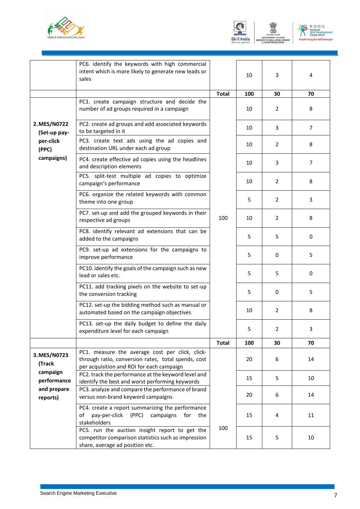





|                              | PC6. identify the keywords with high commercial<br>intent which is more likely to generate new leads or<br>sales                                    |              | 10        | 3                     | 4              |
|------------------------------|-----------------------------------------------------------------------------------------------------------------------------------------------------|--------------|-----------|-----------------------|----------------|
|                              |                                                                                                                                                     |              |           |                       |                |
|                              | PC1. create campaign structure and decide the<br>number of ad groups required in a campaign                                                         | <b>Total</b> | 100<br>10 | 30<br>2               | 70<br>8        |
| 2. MES/N0722<br>(Set-up pay- | PC2. create ad groups and add associated keywords<br>to be targeted in it                                                                           |              | 10        | 3                     | $\overline{7}$ |
| per-click<br>(PPC)           | PC3. create text ads using the ad copies and<br>destination URL under each ad group                                                                 |              | 10        | 2                     | 8              |
| campaigns)                   | PC4. create effective ad copies using the headlines<br>and description elements                                                                     |              | 10        | 3                     | 7              |
|                              | PC5. split-test multiple ad copies to optimize<br>campaign's performance                                                                            |              | 10        | $\overline{2}$        | 8              |
|                              | PC6. organize the related keywords with common<br>theme into one group                                                                              |              | 5         | $\mathbf{2}^{\prime}$ | 3              |
|                              | PC7. set-up and add the grouped keywords in their<br>respective ad groups                                                                           | 100          | 10        | $\overline{2}$        | 8              |
|                              | PC8. identify relevant ad extensions that can be<br>added to the campaigns                                                                          |              | 5         | 5                     | 0              |
|                              | PC9. set-up ad extensions for the campaigns to<br>improve performance                                                                               |              | 5         | 0                     | 5              |
|                              | PC10. identify the goals of the campaign such as new<br>lead or sales etc.                                                                          |              | 5         | 5                     | 0              |
|                              | PC11. add tracking pixels on the website to set-up<br>the conversion tracking                                                                       |              | 5         | 0                     | 5              |
|                              | PC12. set-up the bidding method such as manual or<br>automated based on the campaign objectives                                                     |              | 10        | $\overline{2}$        | 8              |
|                              | PC13. set-up the daily budget to define the daily<br>expenditure level for each campaign                                                            |              | 5         | 2                     | 3              |
|                              |                                                                                                                                                     | <b>Total</b> | 100       | 30                    | 70             |
| 3. MES/N0723<br>(Track       | PC1. measure the average cost per click, click-<br>through ratio, conversion rates, total spends, cost<br>per acquisition and ROI for each campaign |              | 20        | 6                     | 14             |
| campaign<br>performance      | PC2. track the performance at the keyword level and<br>identify the best and worst performing keywords                                              |              | 15        | 5                     | 10             |
| and prepare<br>reports)      | PC3. analyze and compare the performance of brand<br>versus non-brand keyword campaigns                                                             |              | 20        | 6                     | 14             |
|                              | PC4. create a report summarizing the performance<br>pay-per-click<br>(PPC)<br>of<br>campaigns<br>for<br>the<br>stakeholders                         |              | 15        | 4                     | 11             |
|                              | PC5. run the auction insight report to get the<br>competitor comparison statistics such as impression<br>share, average ad position etc.            | 100          | 15        | 5                     | 10             |